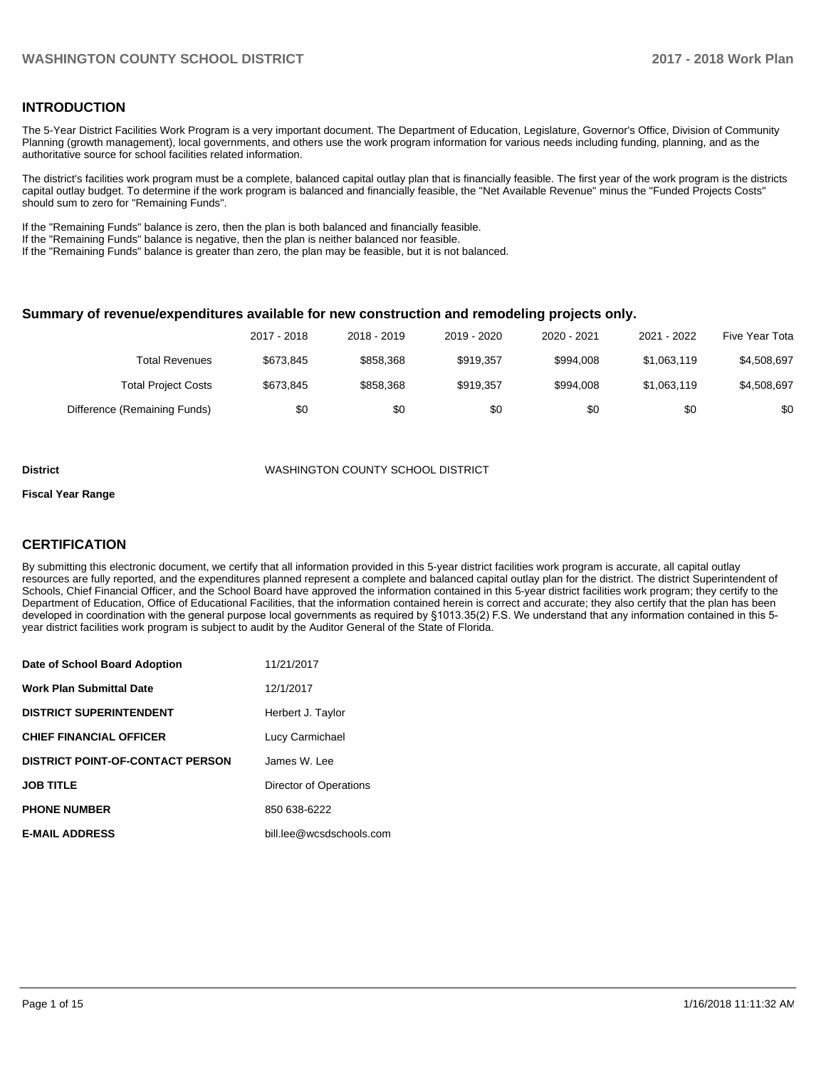## **INTRODUCTION**

The 5-Year District Facilities Work Program is a very important document. The Department of Education, Legislature, Governor's Office, Division of Community Planning (growth management), local governments, and others use the work program information for various needs including funding, planning, and as the authoritative source for school facilities related information.

The district's facilities work program must be a complete, balanced capital outlay plan that is financially feasible. The first year of the work program is the districts capital outlay budget. To determine if the work program is balanced and financially feasible, the "Net Available Revenue" minus the "Funded Projects Costs" should sum to zero for "Remaining Funds".

If the "Remaining Funds" balance is zero, then the plan is both balanced and financially feasible.

If the "Remaining Funds" balance is negative, then the plan is neither balanced nor feasible.

If the "Remaining Funds" balance is greater than zero, the plan may be feasible, but it is not balanced.

#### **Summary of revenue/expenditures available for new construction and remodeling projects only.**

| Five Year Tota | 2021 - 2022 | 2020 - 2021 | 2019 - 2020 | 2018 - 2019 | 2017 - 2018 |                              |
|----------------|-------------|-------------|-------------|-------------|-------------|------------------------------|
| \$4,508,697    | \$1,063,119 | \$994.008   | \$919.357   | \$858,368   | \$673.845   | Total Revenues               |
| \$4,508,697    | \$1,063,119 | \$994.008   | \$919.357   | \$858,368   | \$673.845   | <b>Total Project Costs</b>   |
| \$0            | \$0         | \$0         | \$0         | \$0         | \$0         | Difference (Remaining Funds) |

#### **District** WASHINGTON COUNTY SCHOOL DISTRICT

#### **Fiscal Year Range**

## **CERTIFICATION**

By submitting this electronic document, we certify that all information provided in this 5-year district facilities work program is accurate, all capital outlay resources are fully reported, and the expenditures planned represent a complete and balanced capital outlay plan for the district. The district Superintendent of Schools, Chief Financial Officer, and the School Board have approved the information contained in this 5-year district facilities work program; they certify to the Department of Education, Office of Educational Facilities, that the information contained herein is correct and accurate; they also certify that the plan has been developed in coordination with the general purpose local governments as required by §1013.35(2) F.S. We understand that any information contained in this 5year district facilities work program is subject to audit by the Auditor General of the State of Florida.

| Date of School Board Adoption           | 11/21/2017               |
|-----------------------------------------|--------------------------|
| <b>Work Plan Submittal Date</b>         | 12/1/2017                |
| <b>DISTRICT SUPERINTENDENT</b>          | Herbert J. Taylor        |
| <b>CHIEF FINANCIAL OFFICER</b>          | Lucy Carmichael          |
| <b>DISTRICT POINT-OF-CONTACT PERSON</b> | James W. Lee             |
| <b>JOB TITLE</b>                        | Director of Operations   |
| <b>PHONE NUMBER</b>                     | 850 638-6222             |
| <b>E-MAIL ADDRESS</b>                   | bill.lee@wcsdschools.com |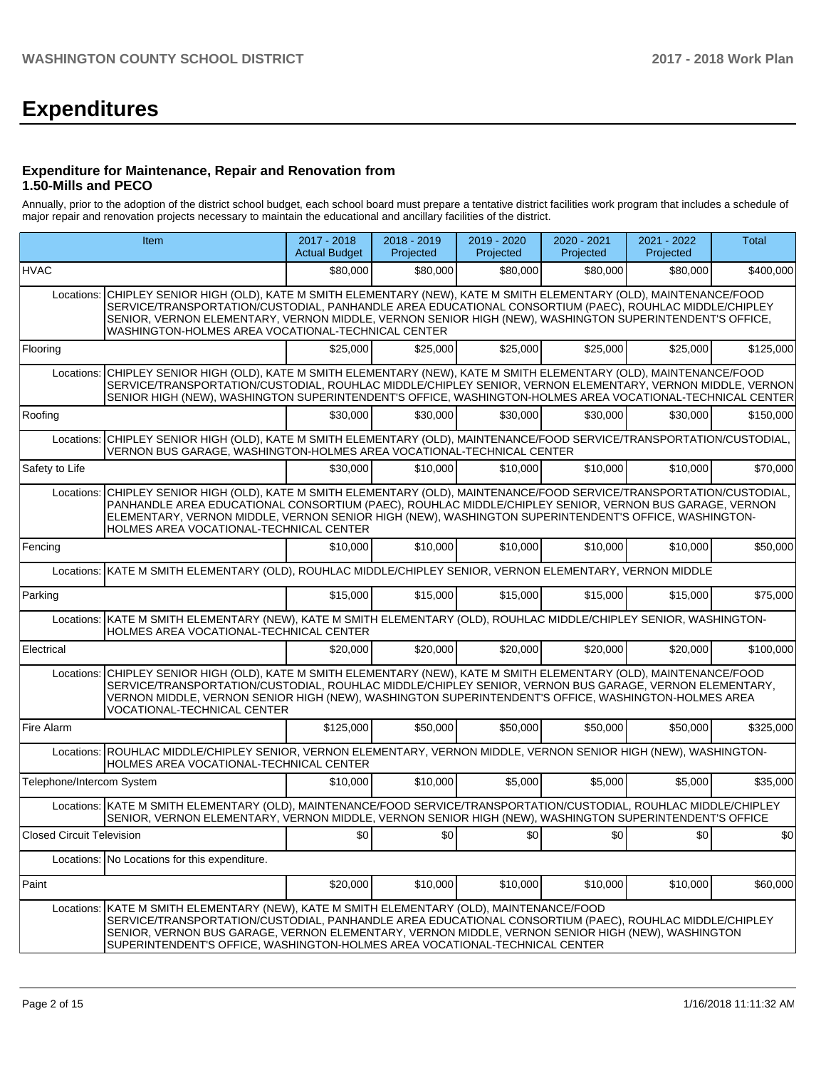# **Expenditures**

#### **Expenditure for Maintenance, Repair and Renovation from 1.50-Mills and PECO**

Annually, prior to the adoption of the district school budget, each school board must prepare a tentative district facilities work program that includes a schedule of major repair and renovation projects necessary to maintain the educational and ancillary facilities of the district.

|                                  | Item                                                                                                                                                                                                                                                                                                                                                                                 |           | 2018 - 2019<br>Projected | 2019 - 2020<br>Projected | 2020 - 2021<br>Projected | 2021 - 2022<br>Projected | Total     |
|----------------------------------|--------------------------------------------------------------------------------------------------------------------------------------------------------------------------------------------------------------------------------------------------------------------------------------------------------------------------------------------------------------------------------------|-----------|--------------------------|--------------------------|--------------------------|--------------------------|-----------|
| <b>HVAC</b>                      |                                                                                                                                                                                                                                                                                                                                                                                      | \$80,000  | \$80,000                 | \$80,000                 | \$80,000                 | \$80,000                 | \$400,000 |
| Locations:                       | CHIPLEY SENIOR HIGH (OLD), KATE M SMITH ELEMENTARY (NEW), KATE M SMITH ELEMENTARY (OLD), MAINTENANCE/FOOD<br>SERVICE/TRANSPORTATION/CUSTODIAL, PANHANDLE AREA EDUCATIONAL CONSORTIUM (PAEC), ROUHLAC MIDDLE/CHIPLEY<br>SENIOR, VERNON ELEMENTARY, VERNON MIDDLE, VERNON SENIOR HIGH (NEW), WASHINGTON SUPERINTENDENT'S OFFICE,<br>WASHINGTON-HOLMES AREA VOCATIONAL-TECHNICAL CENTER |           |                          |                          |                          |                          |           |
| Flooring                         |                                                                                                                                                                                                                                                                                                                                                                                      | \$25,000  | \$25,000                 | \$25,000                 | \$25,000                 | \$25,000                 | \$125,000 |
| Locations:                       | CHIPLEY SENIOR HIGH (OLD), KATE M SMITH ELEMENTARY (NEW), KATE M SMITH ELEMENTARY (OLD), MAINTENANCE/FOOD<br>SERVICE/TRANSPORTATION/CUSTODIAL, ROUHLAC MIDDLE/CHIPLEY SENIOR, VERNON ELEMENTARY, VERNON MIDDLE, VERNON<br>SENIOR HIGH (NEW), WASHINGTON SUPERINTENDENT'S OFFICE, WASHINGTON-HOLMES AREA VOCATIONAL-TECHNICAL CENTER                                                  |           |                          |                          |                          |                          |           |
| Roofing                          |                                                                                                                                                                                                                                                                                                                                                                                      | \$30,000  | \$30,000                 | \$30,000                 | \$30,000                 | \$30,000                 | \$150,000 |
| Locations:                       | CHIPLEY SENIOR HIGH (OLD), KATE M SMITH ELEMENTARY (OLD), MAINTENANCE/FOOD SERVICE/TRANSPORTATION/CUSTODIAL,<br>VERNON BUS GARAGE, WASHINGTON-HOLMES AREA VOCATIONAL-TECHNICAL CENTER                                                                                                                                                                                                |           |                          |                          |                          |                          |           |
| Safety to Life                   |                                                                                                                                                                                                                                                                                                                                                                                      | \$30,000  | \$10,000                 | \$10,000                 | \$10,000                 | \$10,000                 | \$70,000  |
| Locations:                       | CHIPLEY SENIOR HIGH (OLD), KATE M SMITH ELEMENTARY (OLD), MAINTENANCE/FOOD SERVICE/TRANSPORTATION/CUSTODIAL,<br>PANHANDLE AREA EDUCATIONAL CONSORTIUM (PAEC), ROUHLAC MIDDLE/CHIPLEY SENIOR, VERNON BUS GARAGE, VERNON<br>ELEMENTARY, VERNON MIDDLE, VERNON SENIOR HIGH (NEW), WASHINGTON SUPERINTENDENT'S OFFICE, WASHINGTON-<br>HOLMES AREA VOCATIONAL-TECHNICAL CENTER            |           |                          |                          |                          |                          |           |
| Fencing                          |                                                                                                                                                                                                                                                                                                                                                                                      | \$10,000  | \$10,000                 | \$10,000                 | \$10,000                 | \$10,000                 | \$50,000  |
|                                  | Locations: KATE M SMITH ELEMENTARY (OLD), ROUHLAC MIDDLE/CHIPLEY SENIOR, VERNON ELEMENTARY, VERNON MIDDLE                                                                                                                                                                                                                                                                            |           |                          |                          |                          |                          |           |
| Parking                          |                                                                                                                                                                                                                                                                                                                                                                                      | \$15,000  | \$15,000                 | \$15,000                 | \$15,000                 | \$15,000                 | \$75,000  |
|                                  | Locations: KATE M SMITH ELEMENTARY (NEW), KATE M SMITH ELEMENTARY (OLD), ROUHLAC MIDDLE/CHIPLEY SENIOR, WASHINGTON-<br>HOLMES AREA VOCATIONAL-TECHNICAL CENTER                                                                                                                                                                                                                       |           |                          |                          |                          |                          |           |
| Electrical                       |                                                                                                                                                                                                                                                                                                                                                                                      | \$20,000  | \$20,000                 | \$20,000                 | \$20,000                 | \$20,000                 | \$100,000 |
| Locations:                       | CHIPLEY SENIOR HIGH (OLD), KATE M SMITH ELEMENTARY (NEW), KATE M SMITH ELEMENTARY (OLD), MAINTENANCE/FOOD<br>SERVICE/TRANSPORTATION/CUSTODIAL, ROUHLAC MIDDLE/CHIPLEY SENIOR, VERNON BUS GARAGE, VERNON ELEMENTARY,<br>VERNON MIDDLE, VERNON SENIOR HIGH (NEW), WASHINGTON SUPERINTENDENT'S OFFICE, WASHINGTON-HOLMES AREA<br>VOCATIONAL-TECHNICAL CENTER                            |           |                          |                          |                          |                          |           |
| Fire Alarm                       |                                                                                                                                                                                                                                                                                                                                                                                      | \$125,000 | \$50,000                 | \$50,000                 | \$50,000                 | \$50,000                 | \$325,000 |
|                                  | Locations: ROUHLAC MIDDLE/CHIPLEY SENIOR, VERNON ELEMENTARY, VERNON MIDDLE, VERNON SENIOR HIGH (NEW), WASHINGTON-<br>HOLMES AREA VOCATIONAL-TECHNICAL CENTER                                                                                                                                                                                                                         |           |                          |                          |                          |                          |           |
| Telephone/Intercom System        |                                                                                                                                                                                                                                                                                                                                                                                      | \$10,000  | \$10,000                 | \$5,000                  | \$5,000                  | \$5,000                  | \$35,000  |
|                                  | Locations: KATE M SMITH ELEMENTARY (OLD), MAINTENANCE/FOOD SERVICE/TRANSPORTATION/CUSTODIAL, ROUHLAC MIDDLE/CHIPLEY<br>SENIOR, VERNON ELEMENTARY, VERNON MIDDLE, VERNON SENIOR HIGH (NEW), WASHINGTON SUPERINTENDENT'S OFFICE                                                                                                                                                        |           |                          |                          |                          |                          |           |
| <b>Closed Circuit Television</b> |                                                                                                                                                                                                                                                                                                                                                                                      | \$0       | $\sqrt{50}$              | \$0                      | \$0                      | \$0]                     | \$0       |
|                                  | Locations: No Locations for this expenditure.                                                                                                                                                                                                                                                                                                                                        |           |                          |                          |                          |                          |           |
| Paint                            |                                                                                                                                                                                                                                                                                                                                                                                      | \$20,000  | \$10,000                 | \$10,000                 | \$10,000                 | \$10,000                 | \$60,000  |
| Locations:                       | KATE M SMITH ELEMENTARY (NEW), KATE M SMITH ELEMENTARY (OLD), MAINTENANCE/FOOD<br>SERVICE/TRANSPORTATION/CUSTODIAL, PANHANDLE AREA EDUCATIONAL CONSORTIUM (PAEC), ROUHLAC MIDDLE/CHIPLEY<br>SENIOR, VERNON BUS GARAGE, VERNON ELEMENTARY, VERNON MIDDLE, VERNON SENIOR HIGH (NEW), WASHINGTON<br>SUPERINTENDENT'S OFFICE, WASHINGTON-HOLMES AREA VOCATIONAL-TECHNICAL CENTER         |           |                          |                          |                          |                          |           |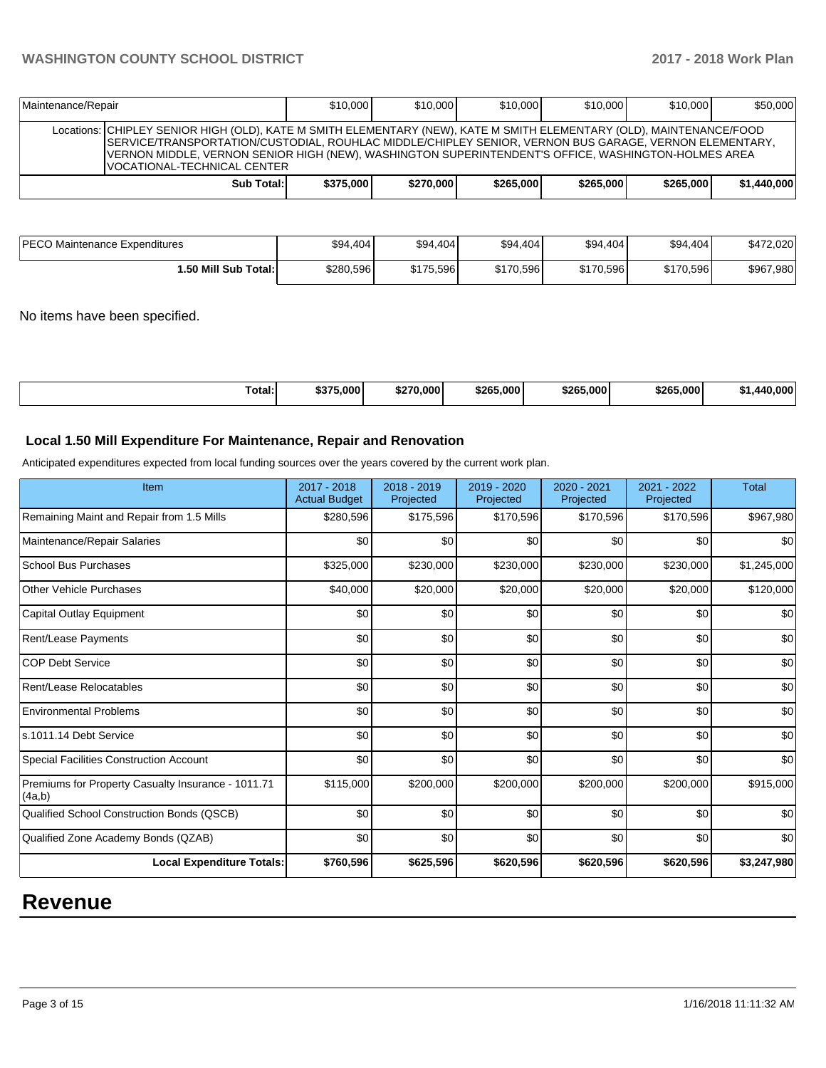| Maintenance/Repair |                                                                                                                                                                                                                                                                                                                                                                      | \$10,000  | \$10,000  | \$10,000  | \$10,000  | \$10,000  | \$50,000    |
|--------------------|----------------------------------------------------------------------------------------------------------------------------------------------------------------------------------------------------------------------------------------------------------------------------------------------------------------------------------------------------------------------|-----------|-----------|-----------|-----------|-----------|-------------|
|                    | Locations: CHIPLEY SENIOR HIGH (OLD), KATE M SMITH ELEMENTARY (NEW), KATE M SMITH ELEMENTARY (OLD), MAINTENANCE/FOOD<br>SERVICE/TRANSPORTATION/CUSTODIAL, ROUHLAC MIDDLE/CHIPLEY SENIOR, VERNON BUS GARAGE, VERNON ELEMENTARY,<br>VERNON MIDDLE, VERNON SENIOR HIGH (NEW), WASHINGTON SUPERINTENDENT'S OFFICE, WASHINGTON-HOLMES AREA<br>VOCATIONAL-TECHNICAL CENTER |           |           |           |           |           |             |
|                    | Sub Total:                                                                                                                                                                                                                                                                                                                                                           | \$375,000 | \$270,000 | \$265,000 | \$265,000 | \$265.000 | \$1,440,000 |

| PECO Maintenance Expenditures | \$94,404  | \$94,404  | \$94,404  | \$94,404  | \$94,404  | \$472,020 |
|-------------------------------|-----------|-----------|-----------|-----------|-----------|-----------|
| 1.50 Mill Sub Total: I        | \$280.596 | \$175.596 | \$170.596 | \$170,596 | \$170,596 | \$967,980 |

No items have been specified.

| \$265.000<br>\$375,000<br>\$265,000<br>\$265.000<br>\$270,000<br>Total:<br>കാ• | $.000^{\circ}$<br>.<br>lлı |
|--------------------------------------------------------------------------------|----------------------------|
|--------------------------------------------------------------------------------|----------------------------|

## **Local 1.50 Mill Expenditure For Maintenance, Repair and Renovation**

Anticipated expenditures expected from local funding sources over the years covered by the current work plan.

| Item                                                         | 2017 - 2018<br><b>Actual Budget</b> | $2018 - 2019$<br>Projected | 2019 - 2020<br>Projected | 2020 - 2021<br>Projected | 2021 - 2022<br>Projected | <b>Total</b> |
|--------------------------------------------------------------|-------------------------------------|----------------------------|--------------------------|--------------------------|--------------------------|--------------|
| Remaining Maint and Repair from 1.5 Mills                    | \$280,596                           | \$175,596                  | \$170,596                | \$170,596                | \$170,596                | \$967,980    |
| Maintenance/Repair Salaries                                  | \$0                                 | \$0                        | \$0                      | \$0                      | \$0                      | \$0          |
| School Bus Purchases                                         | \$325,000                           | \$230,000                  | \$230,000                | \$230,000                | \$230,000                | \$1,245,000  |
| Other Vehicle Purchases                                      | \$40,000                            | \$20,000                   | \$20,000                 | \$20,000                 | \$20,000                 | \$120,000    |
| Capital Outlay Equipment                                     | \$0                                 | \$0                        | \$0                      | \$0                      | \$0                      | \$0          |
| <b>Rent/Lease Payments</b>                                   | \$0                                 | \$0                        | \$0                      | \$0                      | \$0                      | \$0          |
| <b>COP Debt Service</b>                                      | \$0                                 | \$0                        | \$0                      | \$0                      | \$0                      | \$0          |
| Rent/Lease Relocatables                                      | \$0                                 | \$0                        | \$0                      | \$0                      | \$0                      | \$0          |
| <b>Environmental Problems</b>                                | \$0                                 | \$0                        | \$0                      | \$0                      | \$0                      | \$0          |
| s.1011.14 Debt Service                                       | \$0                                 | \$0                        | \$0                      | \$0                      | \$0                      | \$0          |
| Special Facilities Construction Account                      | \$0                                 | \$0                        | \$0                      | \$0                      | \$0                      | \$0          |
| Premiums for Property Casualty Insurance - 1011.71<br>(4a,b) | \$115,000                           | \$200,000                  | \$200,000                | \$200,000                | \$200,000                | \$915,000    |
| Qualified School Construction Bonds (QSCB)                   | \$0                                 | \$0                        | \$0                      | \$0                      | \$0                      | \$0          |
| Qualified Zone Academy Bonds (QZAB)                          | \$0                                 | \$0                        | \$0                      | \$0                      | \$0                      | \$0          |
| <b>Local Expenditure Totals:</b>                             | \$760,596                           | \$625,596                  | \$620,596                | \$620,596                | \$620,596                | \$3,247,980  |

# **Revenue**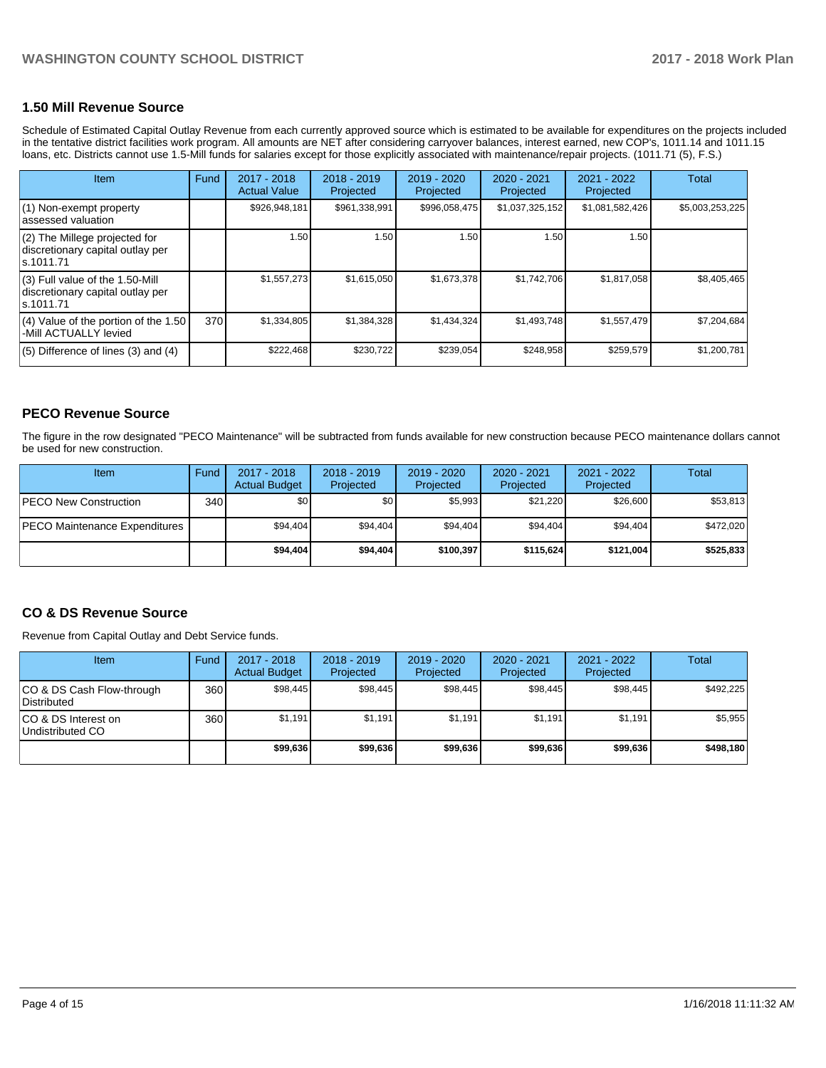#### **1.50 Mill Revenue Source**

Schedule of Estimated Capital Outlay Revenue from each currently approved source which is estimated to be available for expenditures on the projects included in the tentative district facilities work program. All amounts are NET after considering carryover balances, interest earned, new COP's, 1011.14 and 1011.15 loans, etc. Districts cannot use 1.5-Mill funds for salaries except for those explicitly associated with maintenance/repair projects. (1011.71 (5), F.S.)

| Item                                                                                | Fund | $2017 - 2018$<br><b>Actual Value</b> | $2018 - 2019$<br>Projected | $2019 - 2020$<br>Projected | $2020 - 2021$<br>Projected | $2021 - 2022$<br>Projected | <b>Total</b>    |
|-------------------------------------------------------------------------------------|------|--------------------------------------|----------------------------|----------------------------|----------------------------|----------------------------|-----------------|
| (1) Non-exempt property<br>lassessed valuation                                      |      | \$926,948,181                        | \$961,338,991              | \$996,058,475              | \$1,037,325,152            | \$1,081,582,426            | \$5,003,253,225 |
| $(2)$ The Millege projected for<br>discretionary capital outlay per<br>ls.1011.71   |      | 1.50                                 | 1.50                       | 1.50                       | 1.50                       | 1.50                       |                 |
| $(3)$ Full value of the 1.50-Mill<br>discretionary capital outlay per<br>ls.1011.71 |      | \$1,557,273                          | \$1,615,050                | \$1,673,378                | \$1,742,706                | \$1,817,058                | \$8,405,465     |
| $(4)$ Value of the portion of the 1.50<br>-Mill ACTUALLY levied                     | 370  | \$1,334,805                          | \$1,384,328                | \$1,434,324                | \$1,493,748                | \$1,557,479                | \$7,204,684     |
| $(5)$ Difference of lines $(3)$ and $(4)$                                           |      | \$222,468                            | \$230,722                  | \$239,054                  | \$248,958                  | \$259,579                  | \$1,200,781     |

#### **PECO Revenue Source**

The figure in the row designated "PECO Maintenance" will be subtracted from funds available for new construction because PECO maintenance dollars cannot be used for new construction.

| Item                                 | Fund             | $2017 - 2018$<br><b>Actual Budget</b> | $2018 - 2019$<br>Projected | 2019 - 2020<br>Projected | $2020 - 2021$<br>Projected | 2021 - 2022<br>Projected | Total     |
|--------------------------------------|------------------|---------------------------------------|----------------------------|--------------------------|----------------------------|--------------------------|-----------|
| <b>PECO New Construction</b>         | 340 <sub>l</sub> | \$0                                   | \$0                        | \$5,993                  | \$21.220                   | \$26,600                 | \$53,813  |
| <b>PECO Maintenance Expenditures</b> |                  | \$94.404                              | \$94.404                   | \$94.404                 | \$94,404                   | \$94,404                 | \$472,020 |
|                                      |                  | \$94,404                              | \$94.404                   | \$100.397                | \$115.624                  | \$121,004                | \$525,833 |

#### **CO & DS Revenue Source**

Revenue from Capital Outlay and Debt Service funds.

| <b>Item</b>                              | Fund | $2017 - 2018$<br><b>Actual Budget</b> | $2018 - 2019$<br>Projected | 2019 - 2020<br>Projected | $2020 - 2021$<br>Projected | $2021 - 2022$<br>Projected | Total     |
|------------------------------------------|------|---------------------------------------|----------------------------|--------------------------|----------------------------|----------------------------|-----------|
| CO & DS Cash Flow-through<br>Distributed | 360  | \$98.445                              | \$98.445                   | \$98.445                 | \$98.445                   | \$98,445                   | \$492.225 |
| ICO & DS Interest on<br>Undistributed CO | 360  | \$1.191                               | \$1,191                    | \$1,191                  | \$1.191                    | \$1,191                    | \$5,955   |
|                                          |      | \$99,636                              | \$99,636                   | \$99,636                 | \$99,636                   | \$99,636                   | \$498,180 |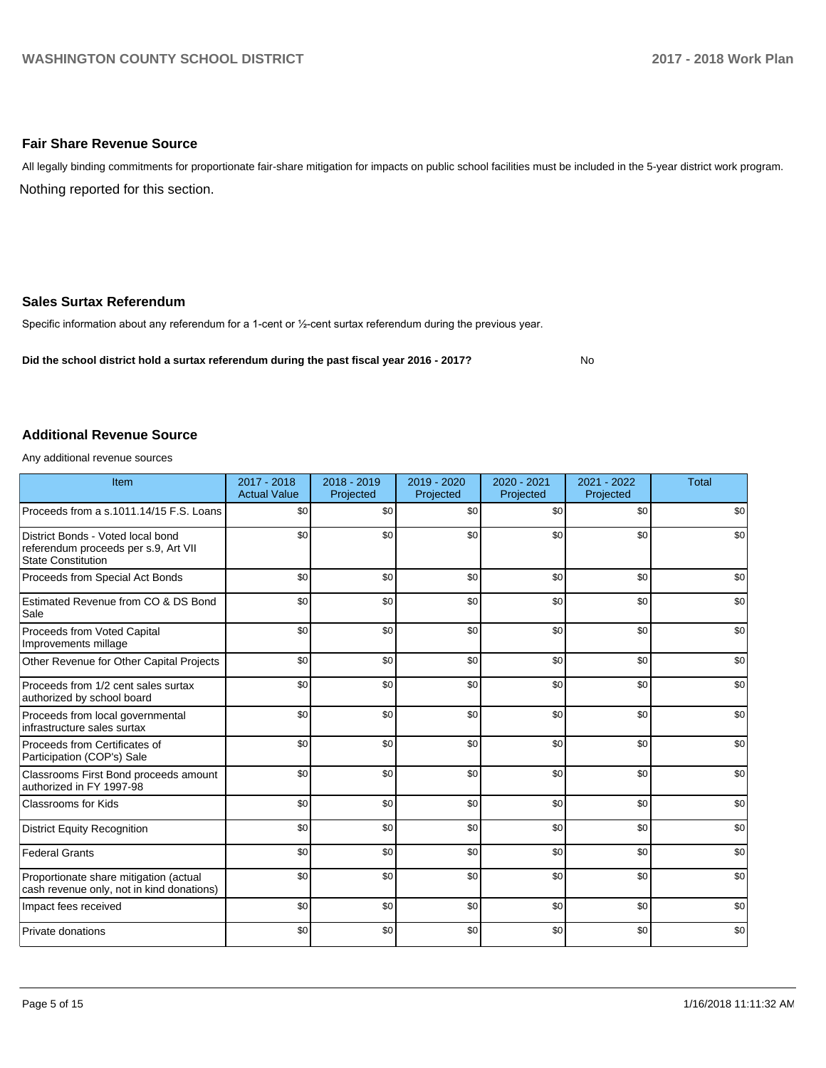#### **Fair Share Revenue Source**

Nothing reported for this section. All legally binding commitments for proportionate fair-share mitigation for impacts on public school facilities must be included in the 5-year district work program.

#### **Sales Surtax Referendum**

Specific information about any referendum for a 1-cent or 1/2-cent surtax referendum during the previous year.

**Did the school district hold a surtax referendum during the past fiscal year 2016 - 2017?**

No

#### **Additional Revenue Source**

Any additional revenue sources

| Item                                                                                                   | $2017 - 2018$<br><b>Actual Value</b> | $2018 - 2019$<br>Projected | 2019 - 2020<br>Projected | 2020 - 2021<br>Projected | 2021 - 2022<br>Projected | <b>Total</b> |
|--------------------------------------------------------------------------------------------------------|--------------------------------------|----------------------------|--------------------------|--------------------------|--------------------------|--------------|
| Proceeds from a s.1011.14/15 F.S. Loans                                                                | \$0                                  | \$0                        | \$0                      | \$0                      | \$0                      | \$0          |
| District Bonds - Voted local bond<br>referendum proceeds per s.9, Art VII<br><b>State Constitution</b> | \$0                                  | \$0                        | \$0                      | \$0                      | \$0                      | \$0          |
| Proceeds from Special Act Bonds                                                                        | \$0                                  | \$0                        | \$0                      | \$0                      | \$0                      | \$0          |
| Estimated Revenue from CO & DS Bond<br>Sale                                                            | \$0                                  | \$0                        | \$0                      | \$0                      | \$0                      | \$0          |
| Proceeds from Voted Capital<br>Improvements millage                                                    | \$0                                  | \$0                        | \$0                      | \$0                      | \$0                      | \$0          |
| Other Revenue for Other Capital Projects                                                               | \$0                                  | \$0                        | \$0                      | \$0                      | \$0                      | \$0          |
| Proceeds from 1/2 cent sales surtax<br>authorized by school board                                      | \$0                                  | \$0                        | \$0                      | \$0                      | \$0                      | \$0          |
| Proceeds from local governmental<br>infrastructure sales surtax                                        | \$0                                  | \$0                        | \$0                      | \$0                      | \$0                      | \$0          |
| Proceeds from Certificates of<br>Participation (COP's) Sale                                            | \$0                                  | \$0                        | \$0                      | \$0                      | \$0                      | \$0          |
| Classrooms First Bond proceeds amount<br>authorized in FY 1997-98                                      | \$0                                  | \$0                        | \$0                      | \$0                      | \$0                      | \$0          |
| <b>Classrooms for Kids</b>                                                                             | \$0                                  | \$0                        | \$0                      | \$0                      | \$0                      | \$0          |
| <b>District Equity Recognition</b>                                                                     | \$0                                  | \$0                        | \$0                      | \$0                      | \$0                      | \$0          |
| <b>Federal Grants</b>                                                                                  | \$0                                  | \$0                        | \$0                      | \$0                      | \$0                      | \$0          |
| Proportionate share mitigation (actual<br>cash revenue only, not in kind donations)                    | \$0                                  | \$0                        | \$0                      | \$0                      | \$0                      | \$0          |
| Impact fees received                                                                                   | \$0                                  | \$0                        | \$0                      | \$0                      | \$0                      | \$0          |
| Private donations                                                                                      | \$0                                  | \$0                        | \$0                      | \$0                      | \$0                      | \$0          |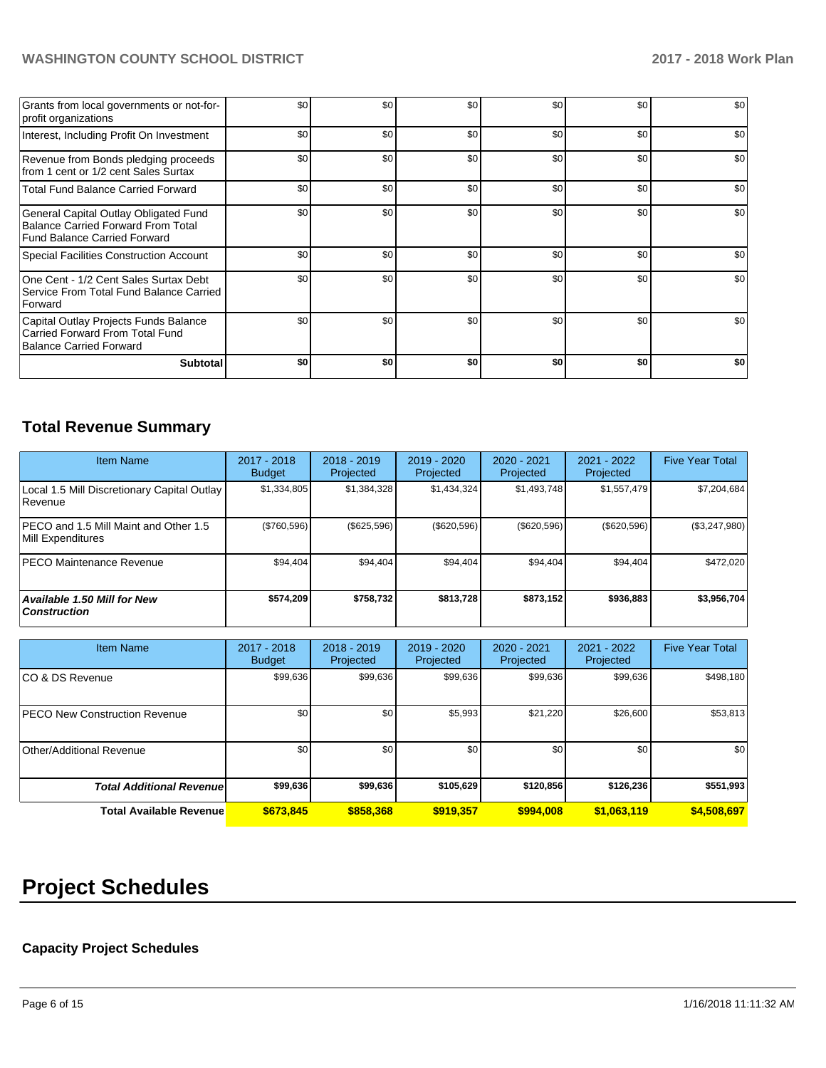| Grants from local governments or not-for-<br>profit organizations                                                         | \$0 | \$0 | \$0 | \$0 | \$0 | \$0 |
|---------------------------------------------------------------------------------------------------------------------------|-----|-----|-----|-----|-----|-----|
| Interest, Including Profit On Investment                                                                                  | \$0 | \$0 | \$0 | \$0 | \$0 | \$0 |
| Revenue from Bonds pledging proceeds<br>from 1 cent or 1/2 cent Sales Surtax                                              | \$0 | \$0 | \$0 | \$0 | \$0 | \$0 |
| <b>Total Fund Balance Carried Forward</b>                                                                                 | \$0 | \$0 | \$0 | \$0 | \$0 | \$0 |
| General Capital Outlay Obligated Fund<br><b>Balance Carried Forward From Total</b><br><b>Fund Balance Carried Forward</b> | \$0 | \$0 | \$0 | \$0 | \$0 | \$0 |
| Special Facilities Construction Account                                                                                   | \$0 | \$0 | \$0 | \$0 | \$0 | \$0 |
| One Cent - 1/2 Cent Sales Surtax Debt<br>Service From Total Fund Balance Carried<br>Forward                               | \$0 | \$0 | \$0 | \$0 | \$0 | \$0 |
| Capital Outlay Projects Funds Balance<br>Carried Forward From Total Fund<br><b>Balance Carried Forward</b>                | \$0 | \$0 | \$0 | \$0 | \$0 | \$0 |
| <b>Subtotal</b>                                                                                                           | \$0 | \$0 | \$0 | \$0 | \$0 | \$0 |

# **Total Revenue Summary**

| Item Name                                                  | $2017 - 2018$<br><b>Budget</b> | $2018 - 2019$<br>Projected | 2019 - 2020<br><b>Projected</b> | $2020 - 2021$<br>Projected | $2021 - 2022$<br>Projected | <b>Five Year Total</b> |
|------------------------------------------------------------|--------------------------------|----------------------------|---------------------------------|----------------------------|----------------------------|------------------------|
| Local 1.5 Mill Discretionary Capital Outlay<br>l Revenue   | \$1,334,805                    | \$1,384,328                | \$1,434,324                     | \$1,493,748                | \$1,557,479                | \$7,204,684            |
| PECO and 1.5 Mill Maint and Other 1.5<br>Mill Expenditures | (\$760,596)                    | $(\$625,596)$              | $(\$620,596)$                   | $(\$620,596)$              | $(\$620,596)$              | (\$3,247,980)          |
| IPECO Maintenance Revenue                                  | \$94.404                       | \$94,404                   | \$94,404                        | \$94,404                   | \$94,404                   | \$472,020              |
| <b>Available 1.50 Mill for New</b><br><b>Construction</b>  | \$574,209                      | \$758,732                  | \$813,728                       | \$873,152                  | \$936,883                  | \$3,956,704            |

| <b>Item Name</b>                     | 2017 - 2018<br><b>Budget</b> | $2018 - 2019$<br>Projected | $2019 - 2020$<br>Projected | 2020 - 2021<br>Projected | 2021 - 2022<br>Projected | <b>Five Year Total</b> |
|--------------------------------------|------------------------------|----------------------------|----------------------------|--------------------------|--------------------------|------------------------|
| ICO & DS Revenue                     | \$99,636                     | \$99,636                   | \$99,636                   | \$99,636                 | \$99,636                 | \$498,180              |
| <b>PECO New Construction Revenue</b> | \$0                          | \$0                        | \$5,993                    | \$21,220                 | \$26,600                 | \$53,813               |
| Other/Additional Revenue             | \$0                          | \$0                        | \$0                        | \$0                      | \$0                      | \$0                    |
| <b>Total Additional Revenue</b>      | \$99,636                     | \$99,636                   | \$105,629                  | \$120,856                | \$126,236                | \$551,993              |
| <b>Total Available Revenue</b>       | \$673,845                    | \$858,368                  | \$919.357                  | \$994,008                | \$1,063,119              | \$4,508,697            |

# **Project Schedules**

# **Capacity Project Schedules**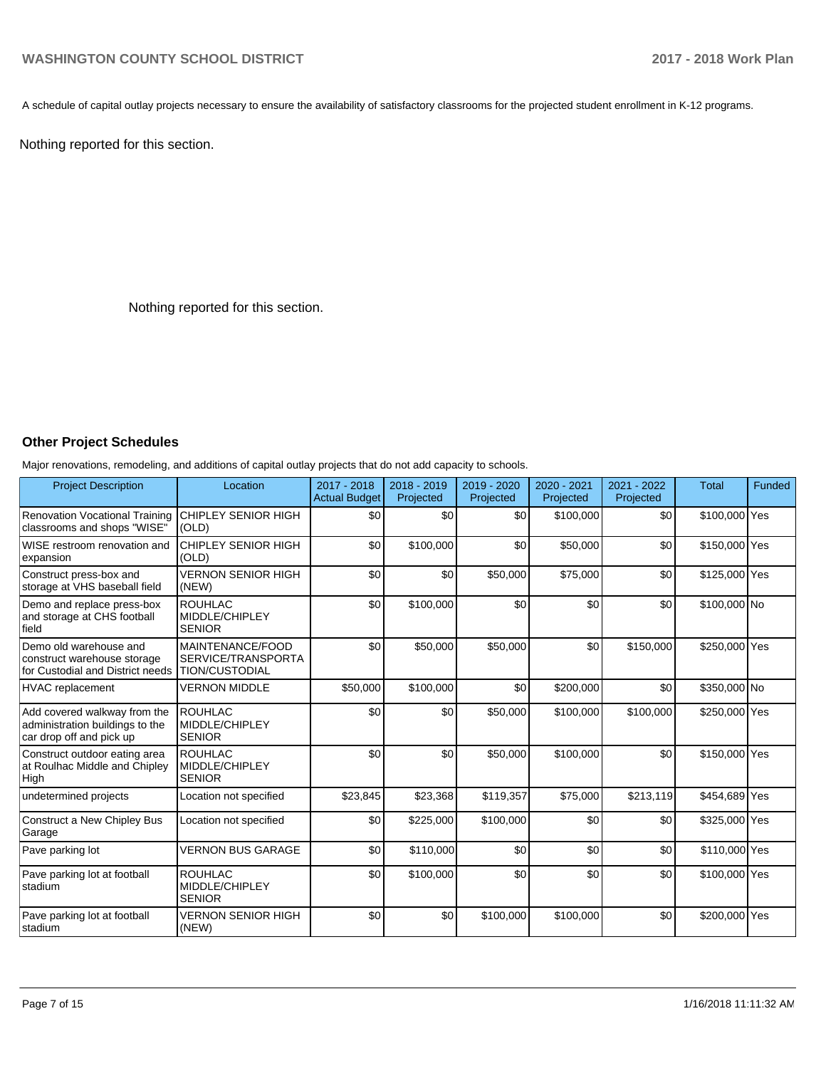A schedule of capital outlay projects necessary to ensure the availability of satisfactory classrooms for the projected student enrollment in K-12 programs.

Nothing reported for this section.

Nothing reported for this section.

## **Other Project Schedules**

Major renovations, remodeling, and additions of capital outlay projects that do not add capacity to schools.

| <b>Project Description</b>                                                                  | Location                                                        | 2017 - 2018<br><b>Actual Budget</b> | 2018 - 2019<br>Projected | 2019 - 2020<br>Projected | 2020 - 2021<br>Projected | 2021 - 2022<br>Projected | <b>Total</b>  | Funded |
|---------------------------------------------------------------------------------------------|-----------------------------------------------------------------|-------------------------------------|--------------------------|--------------------------|--------------------------|--------------------------|---------------|--------|
| <b>Renovation Vocational Training</b><br>classrooms and shops "WISE"                        | <b>CHIPLEY SENIOR HIGH</b><br>(OLD)                             | \$0                                 | \$0                      | \$0                      | \$100,000                | \$0                      | \$100,000 Yes |        |
| WISE restroom renovation and<br>expansion                                                   | <b>CHIPLEY SENIOR HIGH</b><br>(OLD)                             | \$0                                 | \$100.000                | \$0                      | \$50,000                 | \$0                      | \$150,000 Yes |        |
| Construct press-box and<br>storage at VHS baseball field                                    | <b>VERNON SENIOR HIGH</b><br>(NEW)                              | \$0                                 | \$0                      | \$50,000                 | \$75,000                 | \$0                      | \$125,000 Yes |        |
| Demo and replace press-box<br>and storage at CHS football<br><b>field</b>                   | <b>ROUHLAC</b><br>MIDDLE/CHIPLEY<br><b>SENIOR</b>               | \$0                                 | \$100,000                | \$0                      | \$0                      | \$0                      | \$100,000 No  |        |
| Demo old warehouse and<br>construct warehouse storage<br>for Custodial and District needs   | MAINTENANCE/FOOD<br>SERVICE/TRANSPORTA<br><b>TION/CUSTODIAL</b> | \$0                                 | \$50,000                 | \$50,000                 | \$0                      | \$150,000                | \$250,000 Yes |        |
| HVAC replacement                                                                            | <b>VERNON MIDDLE</b>                                            | \$50,000                            | \$100,000                | \$0                      | \$200,000                | \$0                      | \$350,000 No  |        |
| Add covered walkway from the<br>administration buildings to the<br>car drop off and pick up | <b>ROUHLAC</b><br>MIDDLE/CHIPLEY<br><b>SENIOR</b>               | \$0                                 | \$0                      | \$50,000                 | \$100,000                | \$100,000                | \$250,000 Yes |        |
| Construct outdoor eating area<br>at Roulhac Middle and Chipley<br>High                      | <b>ROUHLAC</b><br>MIDDLE/CHIPLEY<br><b>SENIOR</b>               | \$0                                 | \$0                      | \$50,000                 | \$100,000                | \$0                      | \$150,000 Yes |        |
| undetermined projects                                                                       | Location not specified                                          | \$23,845                            | \$23,368                 | \$119,357                | \$75,000                 | \$213,119                | \$454,689 Yes |        |
| Construct a New Chipley Bus<br>Garage                                                       | Location not specified                                          | \$0                                 | \$225,000                | \$100,000                | \$0                      | \$0                      | \$325,000 Yes |        |
| Pave parking lot                                                                            | <b>VERNON BUS GARAGE</b>                                        | \$0                                 | \$110,000                | \$0                      | \$0                      | \$0                      | \$110,000 Yes |        |
| Pave parking lot at football<br>stadium                                                     | <b>ROUHLAC</b><br>MIDDLE/CHIPLEY<br><b>SENIOR</b>               | \$0                                 | \$100,000                | \$0                      | \$0                      | \$0                      | \$100,000 Yes |        |
| Pave parking lot at football<br>stadium                                                     | <b>VERNON SENIOR HIGH</b><br>(NEW)                              | \$0                                 | \$0                      | \$100,000                | \$100,000                | \$0                      | \$200,000 Yes |        |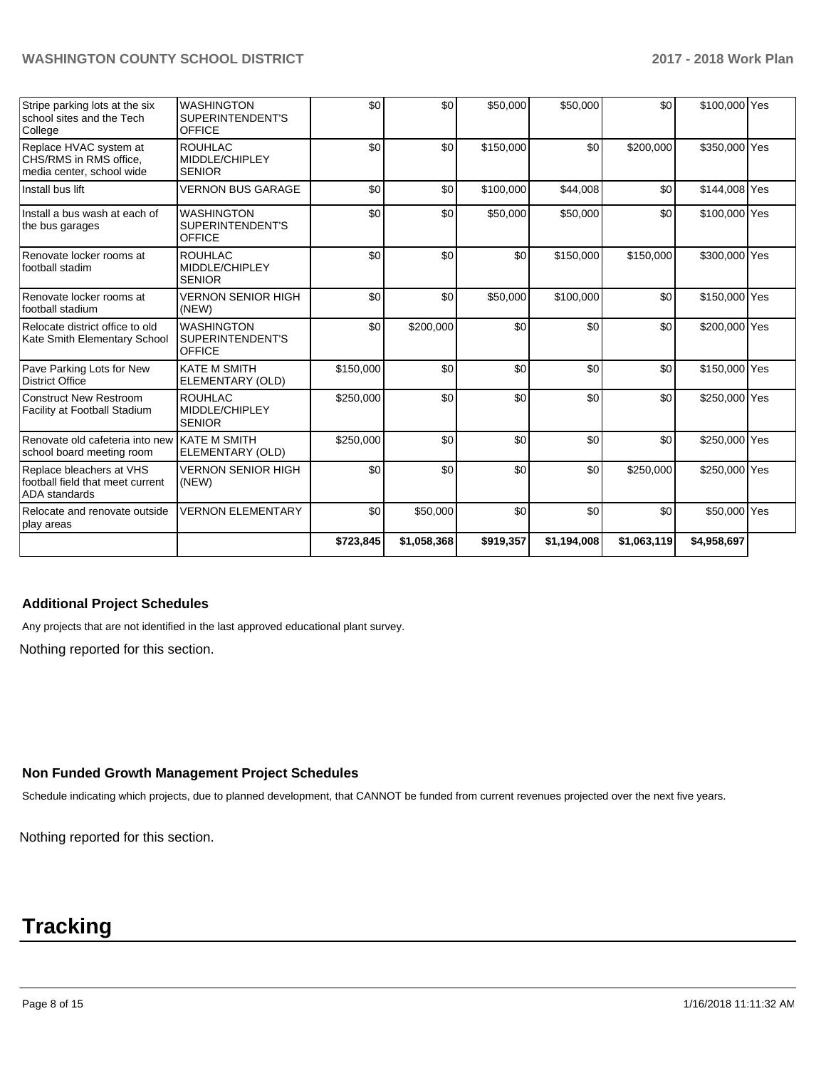| Stripe parking lots at the six<br>school sites and the Tech<br>College               | <b>WASHINGTON</b><br>SUPERINTENDENT'S<br><b>OFFICE</b> | \$0       | \$0         | \$50,000  | \$50,000    | \$0         | \$100,000 Yes |  |
|--------------------------------------------------------------------------------------|--------------------------------------------------------|-----------|-------------|-----------|-------------|-------------|---------------|--|
| Replace HVAC system at<br>CHS/RMS in RMS office.<br>media center, school wide        | <b>ROUHLAC</b><br>MIDDLE/CHIPLEY<br><b>SENIOR</b>      | \$0       | \$0         | \$150,000 | \$0         | \$200,000   | \$350,000 Yes |  |
| Install bus lift                                                                     | <b>VERNON BUS GARAGE</b>                               | \$0       | \$0         | \$100,000 | \$44,008    | \$0         | \$144,008 Yes |  |
| Install a bus wash at each of<br>the bus garages                                     | <b>WASHINGTON</b><br>SUPERINTENDENT'S<br><b>OFFICE</b> | \$0       | \$0         | \$50,000  | \$50,000    | \$0         | \$100,000 Yes |  |
| Renovate locker rooms at<br>football stadim                                          | <b>ROUHLAC</b><br>MIDDLE/CHIPLEY<br><b>SENIOR</b>      | \$0       | \$0         | \$0       | \$150,000   | \$150,000   | \$300,000 Yes |  |
| Renovate locker rooms at<br>football stadium                                         | <b>VERNON SENIOR HIGH</b><br>(NEW)                     | \$0       | \$0         | \$50,000  | \$100,000   | \$0         | \$150,000 Yes |  |
| Relocate district office to old<br>Kate Smith Elementary School                      | <b>WASHINGTON</b><br>SUPERINTENDENT'S<br><b>OFFICE</b> | \$0       | \$200,000   | \$0       | \$0         | \$0         | \$200,000 Yes |  |
| Pave Parking Lots for New<br><b>District Office</b>                                  | <b>KATE M SMITH</b><br>ELEMENTARY (OLD)                | \$150,000 | \$0         | \$0       | \$0         | \$0         | \$150,000 Yes |  |
| Construct New Restroom<br>Facility at Football Stadium                               | <b>ROUHLAC</b><br>MIDDLE/CHIPLEY<br><b>SENIOR</b>      | \$250,000 | \$0         | \$0       | \$0         | \$0         | \$250,000 Yes |  |
| Renovate old cafeteria into new KATE M SMITH<br>school board meeting room            | ELEMENTARY (OLD)                                       | \$250,000 | \$0         | \$0       | \$0         | \$0         | \$250,000 Yes |  |
| Replace bleachers at VHS<br>football field that meet current<br><b>ADA</b> standards | <b>VERNON SENIOR HIGH</b><br>(NEW)                     | \$0       | \$0         | \$0       | \$0         | \$250,000   | \$250,000 Yes |  |
| Relocate and renovate outside<br>play areas                                          | <b>VERNON ELEMENTARY</b>                               | \$0       | \$50,000    | \$0       | \$0         | \$0         | \$50,000 Yes  |  |
|                                                                                      |                                                        | \$723,845 | \$1,058,368 | \$919,357 | \$1,194,008 | \$1,063,119 | \$4,958,697   |  |

#### **Additional Project Schedules**

Any projects that are not identified in the last approved educational plant survey.

Nothing reported for this section.

# **Non Funded Growth Management Project Schedules**

Schedule indicating which projects, due to planned development, that CANNOT be funded from current revenues projected over the next five years.

Nothing reported for this section.

# **Tracking**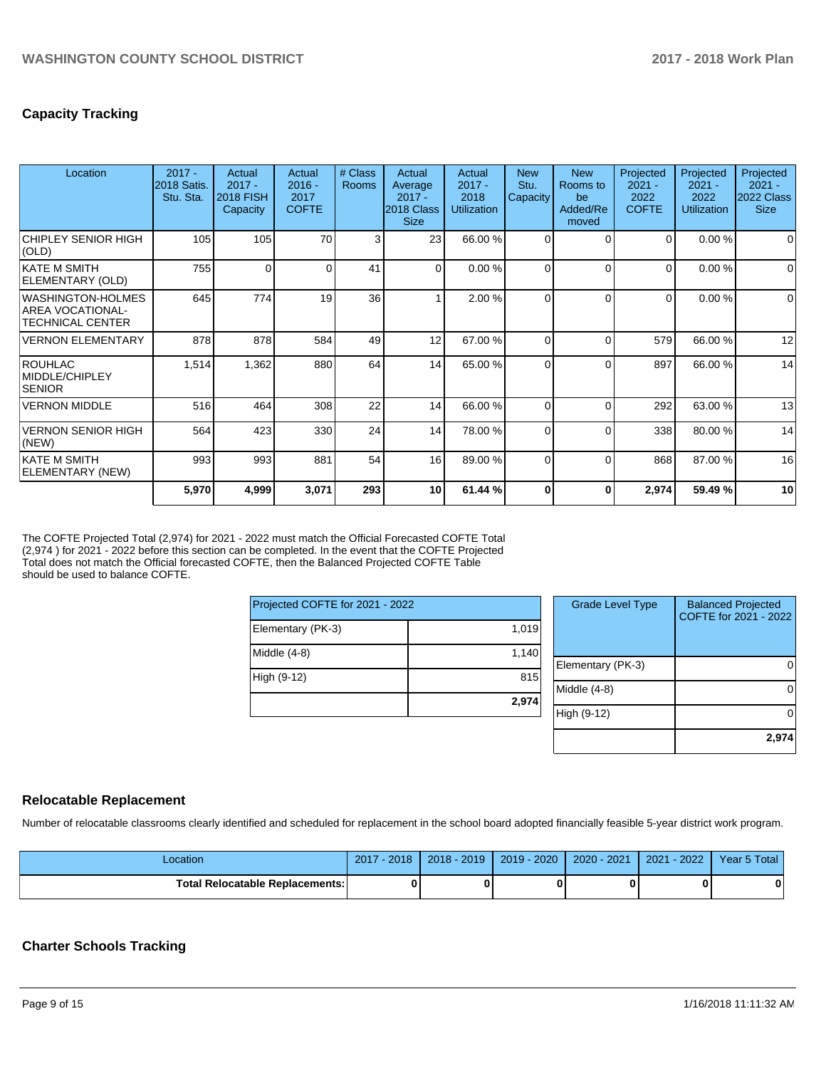## **Capacity Tracking**

| Location                                                                | $2017 -$<br>2018 Satis.<br>Stu. Sta. | Actual<br>$2017 -$<br><b>2018 FISH</b><br>Capacity | Actual<br>$2016 -$<br>2017<br><b>COFTE</b> | # Class<br>Rooms | Actual<br>Average<br>$2017 -$<br>2018 Class<br><b>Size</b> | Actual<br>$2017 -$<br>2018<br><b>Utilization</b> | <b>New</b><br>Stu.<br>Capacity | <b>New</b><br>Rooms to<br>be<br>Added/Re<br>moved | Projected<br>$2021 -$<br>2022<br><b>COFTE</b> | Projected<br>$2021 -$<br>2022<br><b>Utilization</b> | Projected<br>$2021 -$<br>2022 Class<br><b>Size</b> |
|-------------------------------------------------------------------------|--------------------------------------|----------------------------------------------------|--------------------------------------------|------------------|------------------------------------------------------------|--------------------------------------------------|--------------------------------|---------------------------------------------------|-----------------------------------------------|-----------------------------------------------------|----------------------------------------------------|
| CHIPLEY SENIOR HIGH<br>(OLD)                                            | 105                                  | 105                                                | 70                                         | 3                | 23                                                         | 66.00 %                                          | $\Omega$                       |                                                   | $\Omega$                                      | 0.00%                                               | $\Omega$                                           |
| <b>KATE M SMITH</b><br>ELEMENTARY (OLD)                                 | 755                                  | 0                                                  | 0                                          | 41               | $\overline{0}$                                             | 0.00%                                            | $\Omega$                       | C                                                 | $\mathbf 0$                                   | 0.00%                                               | $\Omega$                                           |
| WASHINGTON-HOLMES<br><b>AREA VOCATIONAL-</b><br><b>TECHNICAL CENTER</b> | 645                                  | 774                                                | 19                                         | 36               |                                                            | 2.00 %                                           | $\Omega$                       | $\sqrt{ }$                                        | $\Omega$                                      | 0.00%                                               | $\Omega$                                           |
| <b>VERNON ELEMENTARY</b>                                                | 878                                  | 878                                                | 584                                        | 49               | 12                                                         | 67.00 %                                          | $\Omega$                       | $\sqrt{ }$                                        | 579                                           | 66.00 %                                             | 12                                                 |
| ROUHLAC<br>MIDDLE/CHIPLEY<br><b>SENIOR</b>                              | 1,514                                | 1,362                                              | 880                                        | 64               | 14                                                         | 65.00 %                                          | $\Omega$                       | ſ                                                 | 897                                           | 66.00 %                                             | 14                                                 |
| <b>VERNON MIDDLE</b>                                                    | 516                                  | 464                                                | 308                                        | 22               | 14                                                         | 66.00 %                                          | $\Omega$                       | C                                                 | 292                                           | 63.00 %                                             | 13                                                 |
| <b>VERNON SENIOR HIGH</b><br>(NEW)                                      | 564                                  | 423                                                | 330                                        | 24               | 14                                                         | 78.00 %                                          | $\Omega$                       | C                                                 | 338                                           | 80.00 %                                             | 14                                                 |
| <b>KATE M SMITH</b><br>ELEMENTARY (NEW)                                 | 993                                  | 993                                                | 881                                        | 54               | 16                                                         | 89.00 %                                          | $\Omega$                       | $\Omega$                                          | 868                                           | 87.00 %                                             | 16                                                 |
|                                                                         | 5,970                                | 4,999                                              | 3,071                                      | 293              | 10                                                         | 61.44 %                                          | $\bf{0}$                       | 0                                                 | 2,974                                         | 59.49 %                                             | 10                                                 |

The COFTE Projected Total (2,974) for 2021 - 2022 must match the Official Forecasted COFTE Total (2,974 ) for 2021 - 2022 before this section can be completed. In the event that the COFTE Projected Total does not match the Official forecasted COFTE, then the Balanced Projected COFTE Table should be used to balance COFTE.

| Projected COFTE for 2021 - 2022 |       |  |  |  |  |  |  |
|---------------------------------|-------|--|--|--|--|--|--|
| Elementary (PK-3)               | 1,019 |  |  |  |  |  |  |
| Middle (4-8)                    | 1,140 |  |  |  |  |  |  |
| High (9-12)                     | 815   |  |  |  |  |  |  |
|                                 | 2,974 |  |  |  |  |  |  |

| <b>Grade Level Type</b> | <b>Balanced Projected</b><br>COFTE for 2021 - 2022 |
|-------------------------|----------------------------------------------------|
| Elementary (PK-3)       |                                                    |
| Middle (4-8)            |                                                    |
| High (9-12)             |                                                    |
|                         | 2,97                                               |

#### **Relocatable Replacement**

Number of relocatable classrooms clearly identified and scheduled for replacement in the school board adopted financially feasible 5-year district work program.

| Location                               | 2018<br>2017 | $2018 - 2019$ | $2019 - 2020$ | 2020 - 2021 | $-2022$<br>2021 | Year 5 Total |
|----------------------------------------|--------------|---------------|---------------|-------------|-----------------|--------------|
| <b>Total Relocatable Replacements:</b> |              |               |               |             |                 | 0            |

#### **Charter Schools Tracking**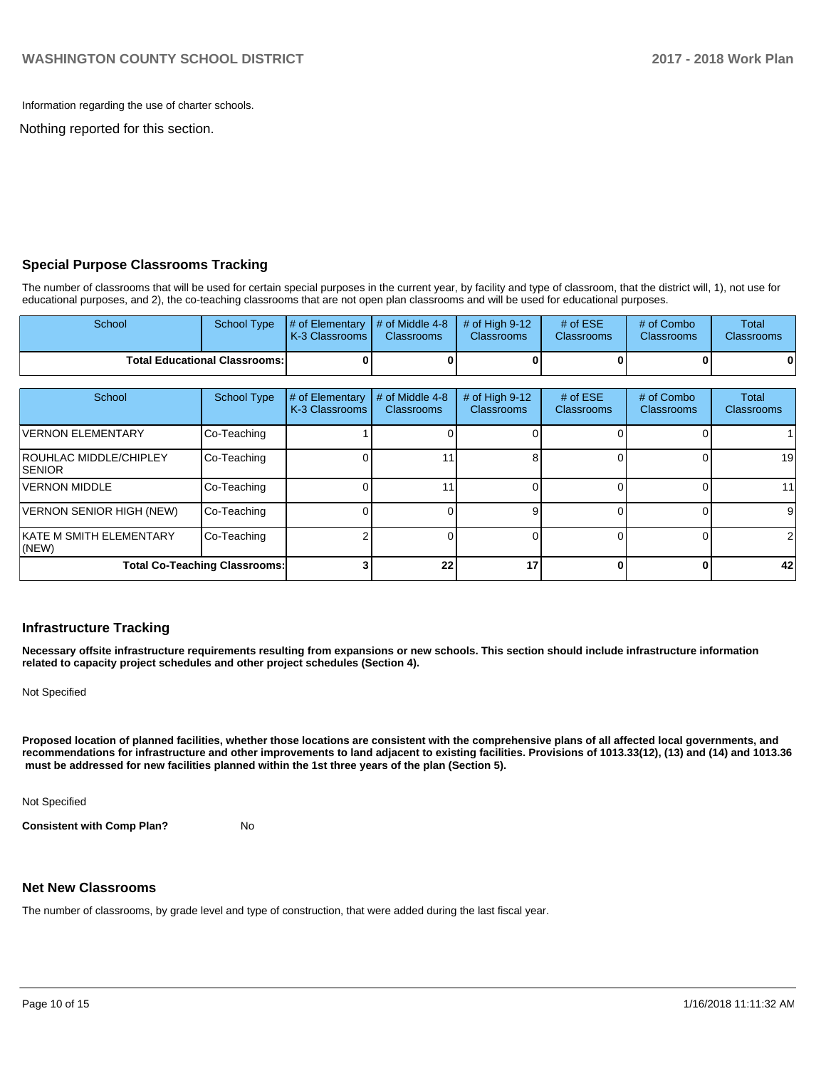Information regarding the use of charter schools.

Nothing reported for this section.

#### **Special Purpose Classrooms Tracking**

The number of classrooms that will be used for certain special purposes in the current year, by facility and type of classroom, that the district will, 1), not use for educational purposes, and 2), the co-teaching classrooms that are not open plan classrooms and will be used for educational purposes.

| School                               |  | School Type $\#$ of Elementary $\#$ of Middle 4-8 $\#$ of High 9-12<br><b>IK-3 Classrooms L</b> | <b>Classrooms</b> | <b>Classrooms</b> | # of $ESE$<br><b>Classrooms</b> | $#$ of Combo<br><b>Classrooms</b> | Total<br><b>Classrooms</b> |
|--------------------------------------|--|-------------------------------------------------------------------------------------------------|-------------------|-------------------|---------------------------------|-----------------------------------|----------------------------|
| <b>Total Educational Classrooms:</b> |  |                                                                                                 | 0                 |                   |                                 |                                   |                            |

| School                                   | <b>School Type</b> | # of Elementary<br>K-3 Classrooms | # of Middle 4-8<br><b>Classrooms</b> | # of High 9-12<br><b>Classrooms</b> | # of $ESE$<br><b>Classrooms</b> | # of Combo<br><b>Classrooms</b> | Total<br>Classrooms |
|------------------------------------------|--------------------|-----------------------------------|--------------------------------------|-------------------------------------|---------------------------------|---------------------------------|---------------------|
| IVERNON ELEMENTARY                       | Co-Teaching        |                                   |                                      |                                     |                                 |                                 |                     |
| ROUHLAC MIDDLE/CHIPLEY<br><b>SENIOR</b>  | Co-Teaching        |                                   |                                      |                                     |                                 |                                 | 19                  |
| <b>VERNON MIDDLE</b>                     | Co-Teaching        |                                   |                                      |                                     |                                 |                                 | 11 <sub>1</sub>     |
| VERNON SENIOR HIGH (NEW)                 | Co-Teaching        |                                   |                                      |                                     |                                 |                                 |                     |
| <b>IKATE M SMITH ELEMENTARY</b><br>(NEW) | Co-Teaching        |                                   |                                      |                                     |                                 |                                 | 2                   |
| <b>Total Co-Teaching Classrooms:</b>     |                    | 22                                | 17                                   |                                     |                                 | 42                              |                     |

#### **Infrastructure Tracking**

**Necessary offsite infrastructure requirements resulting from expansions or new schools. This section should include infrastructure information related to capacity project schedules and other project schedules (Section 4).** 

Not Specified

**Proposed location of planned facilities, whether those locations are consistent with the comprehensive plans of all affected local governments, and recommendations for infrastructure and other improvements to land adjacent to existing facilities. Provisions of 1013.33(12), (13) and (14) and 1013.36 must be addressed for new facilities planned within the 1st three years of the plan (Section 5).** 

Not Specified

**Consistent with Comp Plan?** No

## **Net New Classrooms**

The number of classrooms, by grade level and type of construction, that were added during the last fiscal year.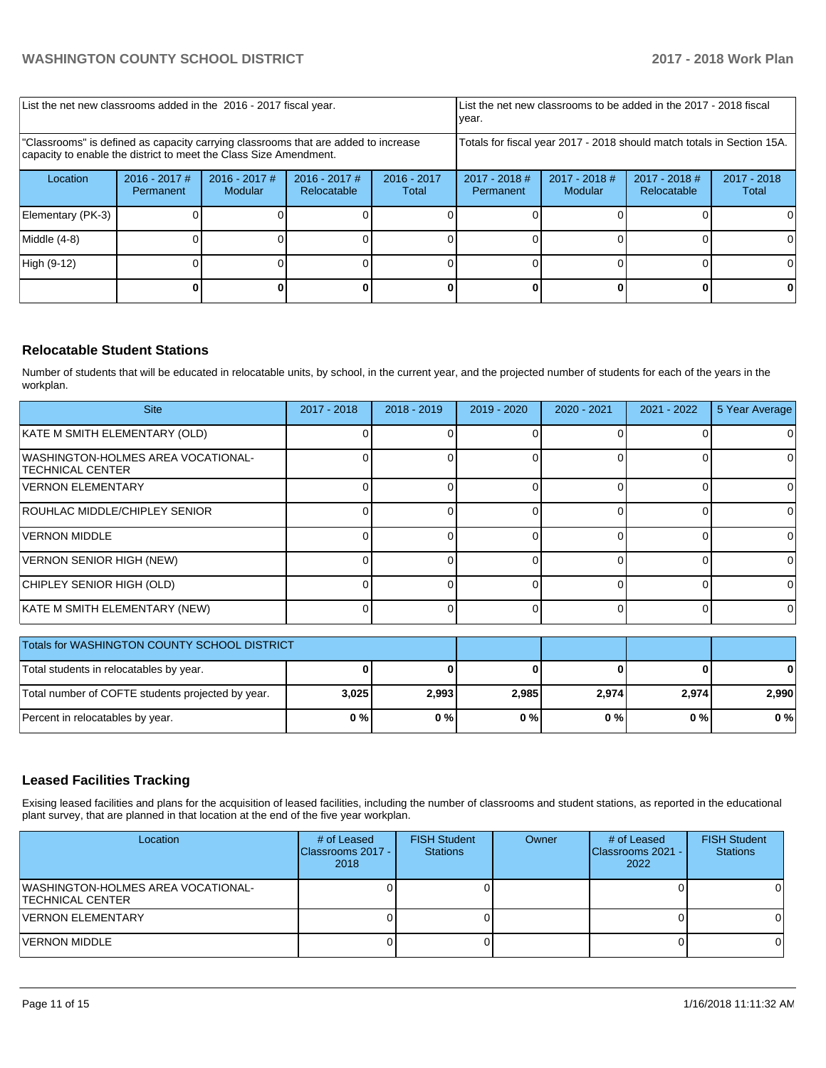| List the net new classrooms added in the 2016 - 2017 fiscal year.                                                                                       |                              |                            | List the net new classrooms to be added in the 2017 - 2018 fiscal<br>year. |                        |                                                                        |                            |                                |                        |
|---------------------------------------------------------------------------------------------------------------------------------------------------------|------------------------------|----------------------------|----------------------------------------------------------------------------|------------------------|------------------------------------------------------------------------|----------------------------|--------------------------------|------------------------|
| "Classrooms" is defined as capacity carrying classrooms that are added to increase<br>capacity to enable the district to meet the Class Size Amendment. |                              |                            |                                                                            |                        | Totals for fiscal year 2017 - 2018 should match totals in Section 15A. |                            |                                |                        |
| Location                                                                                                                                                | $2016 - 2017$ #<br>Permanent | $2016 - 2017$ #<br>Modular | $2016 - 2017$ #<br>Relocatable                                             | $2016 - 2017$<br>Total | $2017 - 2018$ #<br>Permanent                                           | $2017 - 2018$ #<br>Modular | $2017 - 2018$ #<br>Relocatable | $2017 - 2018$<br>Total |
| Elementary (PK-3)                                                                                                                                       |                              |                            |                                                                            |                        |                                                                        |                            |                                |                        |
| Middle (4-8)                                                                                                                                            |                              |                            |                                                                            |                        |                                                                        |                            |                                |                        |
| High (9-12)                                                                                                                                             |                              |                            |                                                                            |                        |                                                                        |                            |                                |                        |
|                                                                                                                                                         |                              |                            |                                                                            |                        |                                                                        |                            |                                |                        |

## **Relocatable Student Stations**

Number of students that will be educated in relocatable units, by school, in the current year, and the projected number of students for each of the years in the workplan.

| <b>Site</b>                                                   | 2017 - 2018 | $2018 - 2019$ | $2019 - 2020$ | 2020 - 2021 | $2021 - 2022$ | 5 Year Average |
|---------------------------------------------------------------|-------------|---------------|---------------|-------------|---------------|----------------|
| KATE M SMITH ELEMENTARY (OLD)                                 |             |               |               |             |               |                |
| WASHINGTON-HOLMES AREA VOCATIONAL-<br><b>TECHNICAL CENTER</b> |             |               |               |             |               | 01             |
| <b>VERNON ELEMENTARY</b>                                      |             |               |               |             |               | ΟI             |
| ROUHLAC MIDDLE/CHIPLEY SENIOR                                 |             |               |               |             |               | $\Omega$       |
| <b>IVERNON MIDDLE</b>                                         |             |               |               |             |               | $\Omega$       |
| VERNON SENIOR HIGH (NEW)                                      |             |               |               |             |               | $\Omega$       |
| CHIPLEY SENIOR HIGH (OLD)                                     |             |               |               |             |               | $\Omega$       |
| KATE M SMITH ELEMENTARY (NEW)                                 |             |               |               |             |               | $\Omega$       |

| Totals for WASHINGTON COUNTY SCHOOL DISTRICT      |       |       |       |       |       |       |
|---------------------------------------------------|-------|-------|-------|-------|-------|-------|
| Total students in relocatables by year.           |       |       |       |       |       | 0     |
| Total number of COFTE students projected by year. | 3,025 | 2,993 | 2,985 | 2,974 | 2,974 | 2.990 |
| Percent in relocatables by year.                  | 0%    | 0%    | 0%    | 0%    | 0 % I | $0\%$ |

#### **Leased Facilities Tracking**

Exising leased facilities and plans for the acquisition of leased facilities, including the number of classrooms and student stations, as reported in the educational plant survey, that are planned in that location at the end of the five year workplan.

| Location                                                       | # of Leased<br><b>IClassrooms 2017 -</b><br>2018 | <b>FISH Student</b><br><b>Stations</b> | Owner | # of Leased<br>Classrooms 2021 -<br>2022 | <b>FISH Student</b><br><b>Stations</b> |
|----------------------------------------------------------------|--------------------------------------------------|----------------------------------------|-------|------------------------------------------|----------------------------------------|
| WASHINGTON-HOLMES AREA VOCATIONAL-<br><b>ITECHNICAL CENTER</b> |                                                  |                                        |       |                                          |                                        |
| <b>VERNON ELEMENTARY</b>                                       |                                                  |                                        |       |                                          |                                        |
| VERNON MIDDLE                                                  |                                                  |                                        |       |                                          |                                        |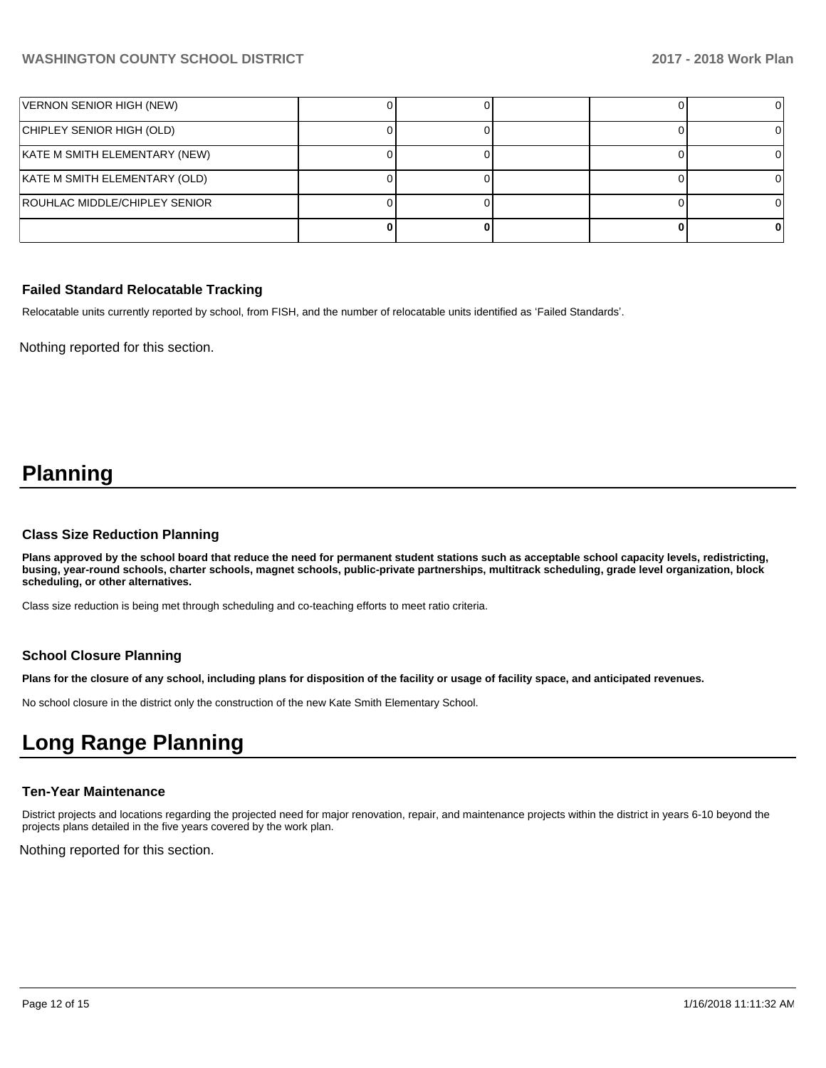| VERNON SENIOR HIGH (NEW)      |  |  |  |
|-------------------------------|--|--|--|
| CHIPLEY SENIOR HIGH (OLD)     |  |  |  |
| KATE M SMITH ELEMENTARY (NEW) |  |  |  |
| KATE M SMITH ELEMENTARY (OLD) |  |  |  |
| ROUHLAC MIDDLE/CHIPLEY SENIOR |  |  |  |
|                               |  |  |  |

#### **Failed Standard Relocatable Tracking**

Relocatable units currently reported by school, from FISH, and the number of relocatable units identified as 'Failed Standards'.

Nothing reported for this section.

# **Planning**

#### **Class Size Reduction Planning**

**Plans approved by the school board that reduce the need for permanent student stations such as acceptable school capacity levels, redistricting, busing, year-round schools, charter schools, magnet schools, public-private partnerships, multitrack scheduling, grade level organization, block scheduling, or other alternatives.**

Class size reduction is being met through scheduling and co-teaching efforts to meet ratio criteria.

#### **School Closure Planning**

**Plans for the closure of any school, including plans for disposition of the facility or usage of facility space, and anticipated revenues.** 

No school closure in the district only the construction of the new Kate Smith Elementary School.

# **Long Range Planning**

## **Ten-Year Maintenance**

District projects and locations regarding the projected need for major renovation, repair, and maintenance projects within the district in years 6-10 beyond the projects plans detailed in the five years covered by the work plan.

Nothing reported for this section.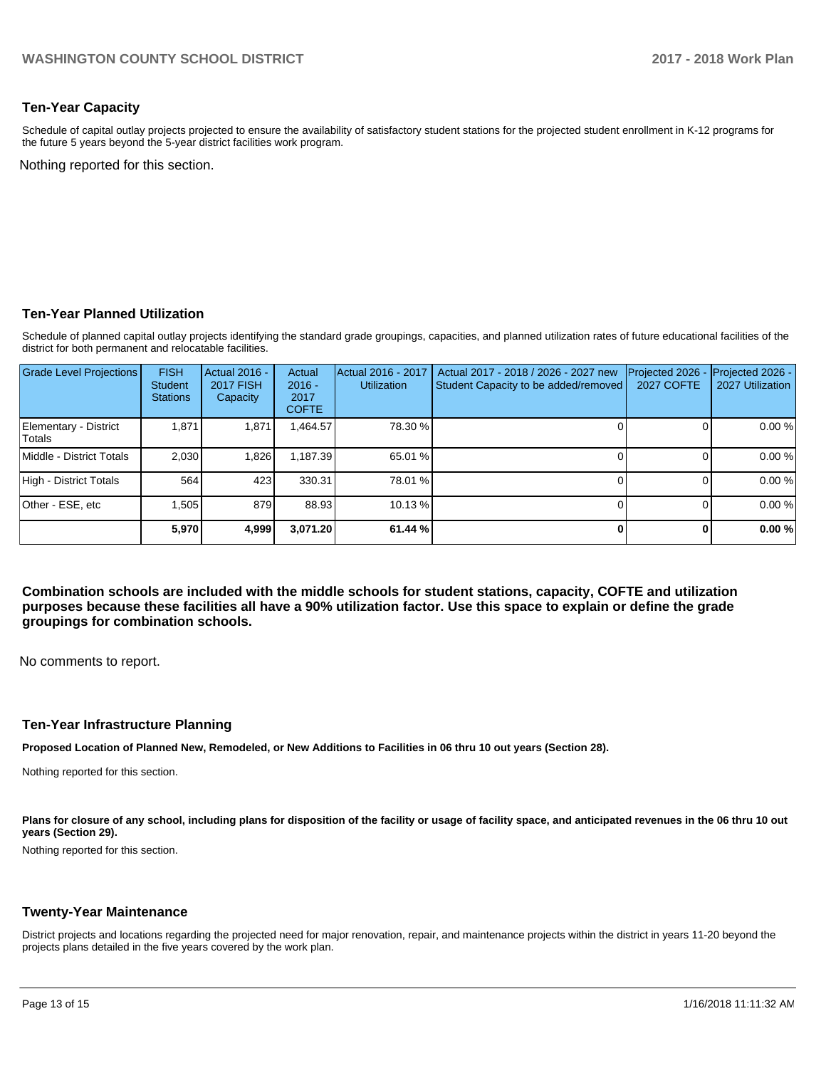#### **Ten-Year Capacity**

Schedule of capital outlay projects projected to ensure the availability of satisfactory student stations for the projected student enrollment in K-12 programs for the future 5 years beyond the 5-year district facilities work program.

Nothing reported for this section.

#### **Ten-Year Planned Utilization**

Schedule of planned capital outlay projects identifying the standard grade groupings, capacities, and planned utilization rates of future educational facilities of the district for both permanent and relocatable facilities.

| <b>Grade Level Projections</b>         | <b>FISH</b><br><b>Student</b><br><b>Stations</b> | Actual 2016 -<br><b>2017 FISH</b><br>Capacity | Actual<br>$2016 -$<br>2017<br><b>COFTE</b> | Actual 2016 - 2017<br><b>Utilization</b> | Actual 2017 - 2018 / 2026 - 2027 new<br>Student Capacity to be added/removed | Projected 2026<br><b>2027 COFTE</b> | Projected 2026 -<br>2027 Utilization |
|----------------------------------------|--------------------------------------------------|-----------------------------------------------|--------------------------------------------|------------------------------------------|------------------------------------------------------------------------------|-------------------------------------|--------------------------------------|
| Elementary - District<br><b>Totals</b> | 1,871                                            | 1,871                                         | ,464.57                                    | 78.30 %                                  |                                                                              |                                     | 0.00%                                |
| Middle - District Totals               | 2.030                                            | 1,826                                         | 1,187.39                                   | 65.01 %                                  |                                                                              |                                     | 0.00%                                |
| High - District Totals                 | 564                                              | 423                                           | 330.31                                     | 78.01 %                                  |                                                                              |                                     | 0.00%                                |
| Other - ESE, etc                       | .505                                             | 879                                           | 88.93                                      | 10.13 %                                  |                                                                              |                                     | 0.00%                                |
|                                        | 5.970                                            | 4,999                                         | 3,071.20                                   | 61.44 %                                  |                                                                              |                                     | 0.00%                                |

**Combination schools are included with the middle schools for student stations, capacity, COFTE and utilization purposes because these facilities all have a 90% utilization factor. Use this space to explain or define the grade groupings for combination schools.** 

No comments to report.

#### **Ten-Year Infrastructure Planning**

**Proposed Location of Planned New, Remodeled, or New Additions to Facilities in 06 thru 10 out years (Section 28).**

Nothing reported for this section.

Plans for closure of any school, including plans for disposition of the facility or usage of facility space, and anticipated revenues in the 06 thru 10 out **years (Section 29).**

Nothing reported for this section.

#### **Twenty-Year Maintenance**

District projects and locations regarding the projected need for major renovation, repair, and maintenance projects within the district in years 11-20 beyond the projects plans detailed in the five years covered by the work plan.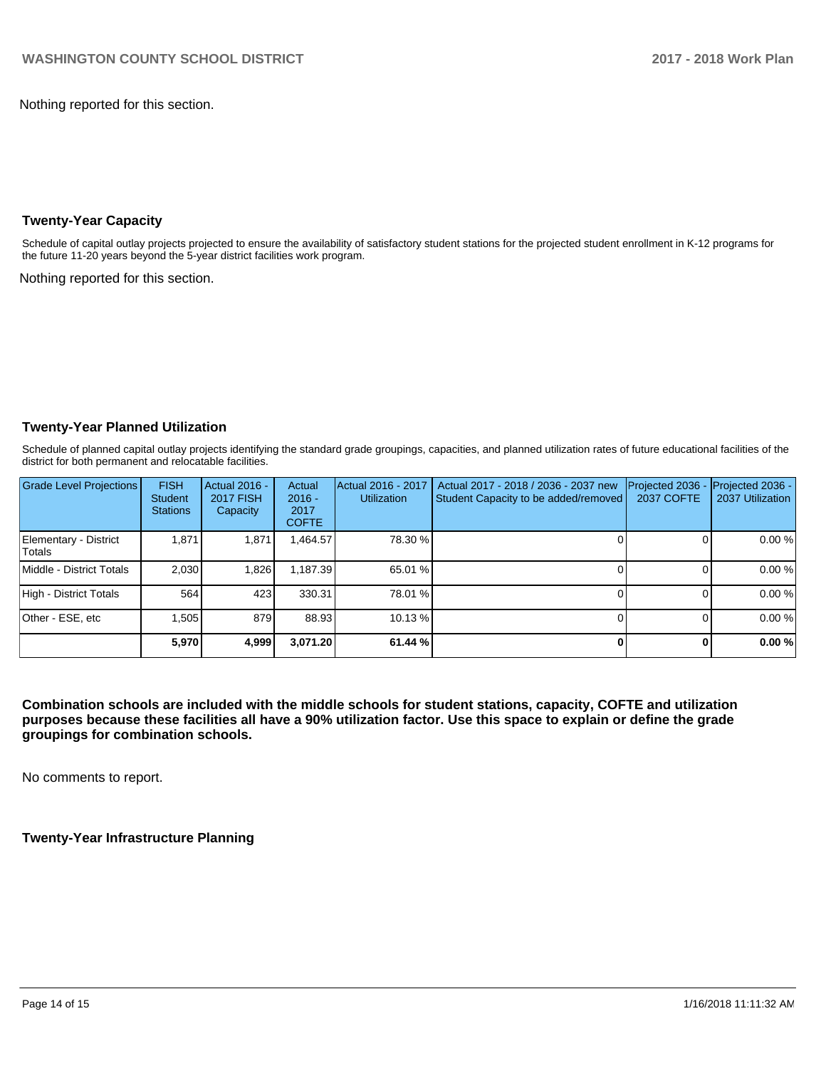Nothing reported for this section.

#### **Twenty-Year Capacity**

Schedule of capital outlay projects projected to ensure the availability of satisfactory student stations for the projected student enrollment in K-12 programs for the future 11-20 years beyond the 5-year district facilities work program.

Nothing reported for this section.

#### **Twenty-Year Planned Utilization**

Schedule of planned capital outlay projects identifying the standard grade groupings, capacities, and planned utilization rates of future educational facilities of the district for both permanent and relocatable facilities.

| <b>Grade Level Projections</b>         | <b>FISH</b><br><b>Student</b><br><b>Stations</b> | Actual 2016 -<br><b>2017 FISH</b><br>Capacity | Actual<br>$2016 -$<br>2017<br><b>COFTE</b> | Actual 2016 - 2017<br><b>Utilization</b> | Actual 2017 - 2018 / 2036 - 2037 new<br>Student Capacity to be added/removed | Projected 2036<br>2037 COFTE | Projected 2036 -<br>2037 Utilization |
|----------------------------------------|--------------------------------------------------|-----------------------------------------------|--------------------------------------------|------------------------------------------|------------------------------------------------------------------------------|------------------------------|--------------------------------------|
| Elementary - District<br><b>Totals</b> | 1.871                                            | 1,871                                         | ,464.57                                    | 78.30 %                                  |                                                                              |                              | 0.00%                                |
| Middle - District Totals               | 2.030                                            | 1.826                                         | 1.187.39                                   | 65.01 %                                  |                                                                              |                              | 0.00%                                |
| High - District Totals                 | 564                                              | 423                                           | 330.31                                     | 78.01 %                                  |                                                                              |                              | 0.00%                                |
| Other - ESE, etc                       | .505                                             | 879                                           | 88.93                                      | 10.13 %                                  |                                                                              |                              | 0.00%                                |
|                                        | 5,970                                            | 4,999                                         | 3,071.20                                   | 61.44 %                                  |                                                                              |                              | 0.00%                                |

**Combination schools are included with the middle schools for student stations, capacity, COFTE and utilization purposes because these facilities all have a 90% utilization factor. Use this space to explain or define the grade groupings for combination schools.** 

No comments to report.

**Twenty-Year Infrastructure Planning**